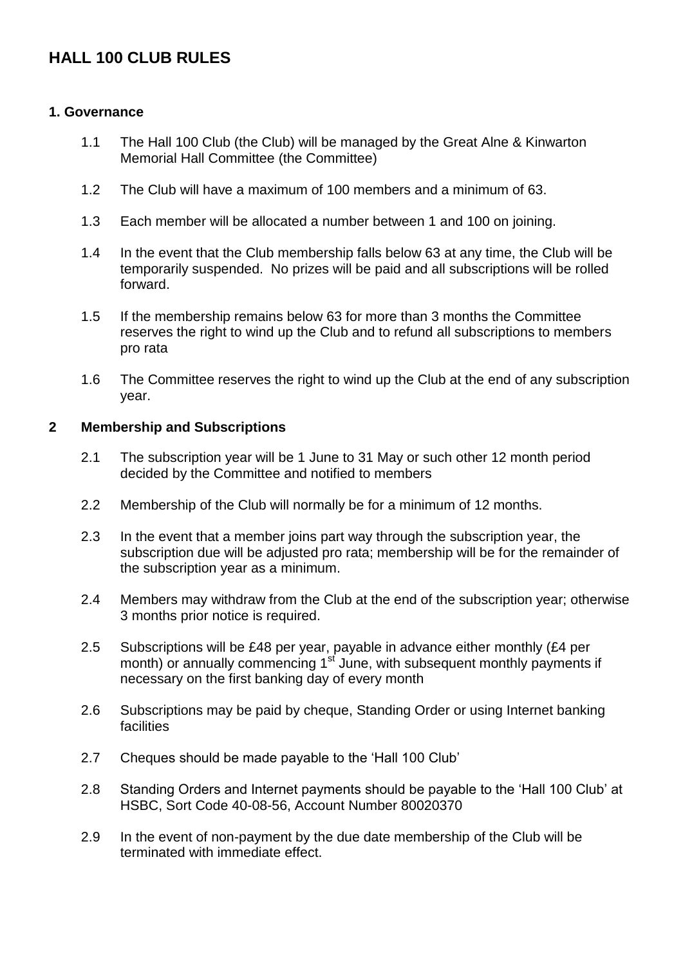# **HALL 100 CLUB RULES**

#### **1. Governance**

- 1.1 The Hall 100 Club (the Club) will be managed by the Great Alne & Kinwarton Memorial Hall Committee (the Committee)
- 1.2 The Club will have a maximum of 100 members and a minimum of 63.
- 1.3 Each member will be allocated a number between 1 and 100 on joining.
- 1.4 In the event that the Club membership falls below 63 at any time, the Club will be temporarily suspended. No prizes will be paid and all subscriptions will be rolled forward.
- 1.5 If the membership remains below 63 for more than 3 months the Committee reserves the right to wind up the Club and to refund all subscriptions to members pro rata
- 1.6 The Committee reserves the right to wind up the Club at the end of any subscription year.

#### **2 Membership and Subscriptions**

- 2.1 The subscription year will be 1 June to 31 May or such other 12 month period decided by the Committee and notified to members
- 2.2 Membership of the Club will normally be for a minimum of 12 months.
- 2.3 In the event that a member joins part way through the subscription year, the subscription due will be adjusted pro rata; membership will be for the remainder of the subscription year as a minimum.
- 2.4 Members may withdraw from the Club at the end of the subscription year; otherwise 3 months prior notice is required.
- 2.5 Subscriptions will be £48 per year, payable in advance either monthly (£4 per month) or annually commencing  $1^{st}$  June, with subsequent monthly payments if necessary on the first banking day of every month
- 2.6 Subscriptions may be paid by cheque, Standing Order or using Internet banking facilities
- 2.7 Cheques should be made payable to the 'Hall 100 Club'
- 2.8 Standing Orders and Internet payments should be payable to the 'Hall 100 Club' at HSBC, Sort Code 40-08-56, Account Number 80020370
- 2.9 In the event of non-payment by the due date membership of the Club will be terminated with immediate effect.